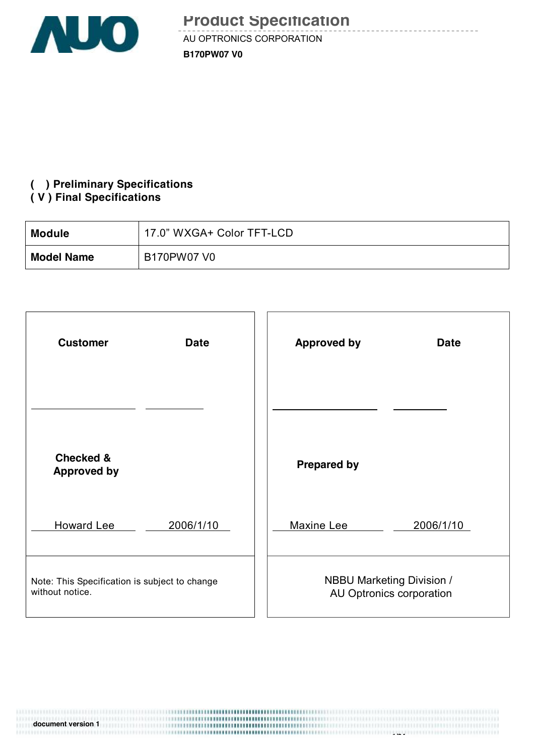

\_\_\_\_\_\_\_\_\_\_\_\_\_\_\_\_

### **( ) Preliminary Specifications**

#### **( V ) Final Specifications**

**document version 1** 

| <b>Module</b>     | 17.0" WXGA+ Color TFT-LCD |
|-------------------|---------------------------|
| <b>Model Name</b> | B170PW07 V0               |

| <b>Customer</b>                               | <b>Approved by</b>               |
|-----------------------------------------------|----------------------------------|
| <b>Date</b>                                   | <b>Date</b>                      |
|                                               |                                  |
| <b>Checked &amp;</b><br><b>Approved by</b>    | <b>Prepared by</b>               |
| <b>Howard Lee</b>                             | Maxine Lee                       |
| 2006/1/10                                     | 2006/1/10                        |
| Note: This Specification is subject to change | <b>NBBU Marketing Division /</b> |
| without notice.                               | AU Optronics corporation         |

 **1/34**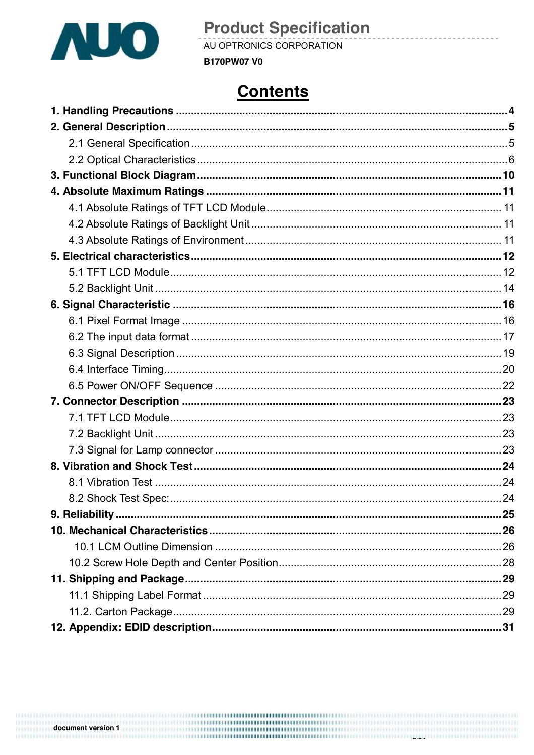

AU OPTRONICS CORPORATION

**B170PW07 V0** 

## **Contents**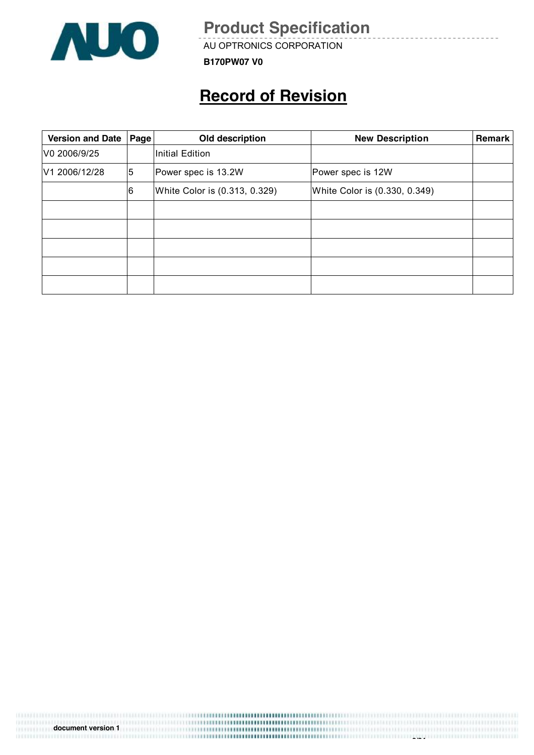

AU OPTRONICS CORPORATION

**B170PW07 V0**

## **Record of Revision**

| <b>Version and Date</b> | Page | Old description               | <b>New Description</b>        | Remark |
|-------------------------|------|-------------------------------|-------------------------------|--------|
| V0 2006/9/25            |      | Initial Edition               |                               |        |
| V1 2006/12/28           | 5    | Power spec is 13.2W           | Power spec is 12W             |        |
|                         | 6    | White Color is (0.313, 0.329) | White Color is (0.330, 0.349) |        |
|                         |      |                               |                               |        |
|                         |      |                               |                               |        |
|                         |      |                               |                               |        |
|                         |      |                               |                               |        |
|                         |      |                               |                               |        |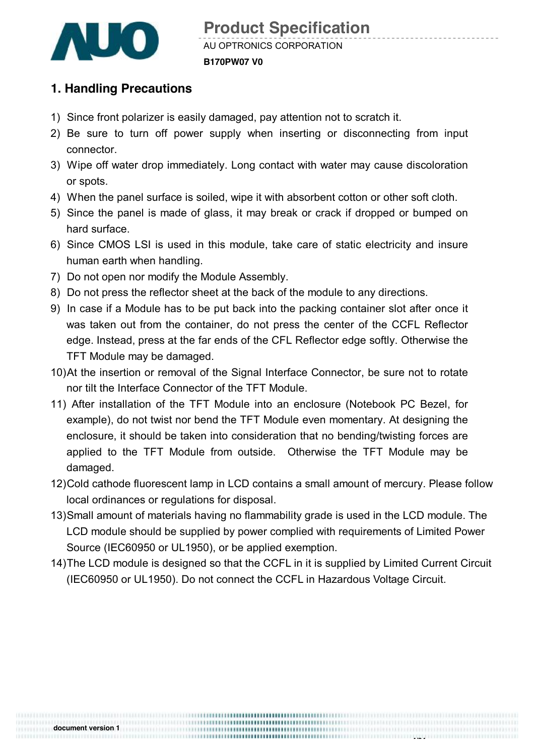

#### **1. Handling Precautions**

- 1) Since front polarizer is easily damaged, pay attention not to scratch it.
- 2) Be sure to turn off power supply when inserting or disconnecting from input connector.
- 3) Wipe off water drop immediately. Long contact with water may cause discoloration or spots.
- 4) When the panel surface is soiled, wipe it with absorbent cotton or other soft cloth.
- 5) Since the panel is made of glass, it may break or crack if dropped or bumped on hard surface.
- 6) Since CMOS LSI is used in this module, take care of static electricity and insure human earth when handling.
- 7) Do not open nor modify the Module Assembly.
- 8) Do not press the reflector sheet at the back of the module to any directions.
- 9) In case if a Module has to be put back into the packing container slot after once it was taken out from the container, do not press the center of the CCFL Reflector edge. Instead, press at the far ends of the CFL Reflector edge softly. Otherwise the TFT Module may be damaged.
- 10)At the insertion or removal of the Signal Interface Connector, be sure not to rotate nor tilt the Interface Connector of the TFT Module.
- 11) After installation of the TFT Module into an enclosure (Notebook PC Bezel, for example), do not twist nor bend the TFT Module even momentary. At designing the enclosure, it should be taken into consideration that no bending/twisting forces are applied to the TFT Module from outside. Otherwise the TFT Module may be damaged.
- 12)Cold cathode fluorescent lamp in LCD contains a small amount of mercury. Please follow local ordinances or regulations for disposal.
- 13)Small amount of materials having no flammability grade is used in the LCD module. The LCD module should be supplied by power complied with requirements of Limited Power Source (IEC60950 or UL1950), or be applied exemption.
- 14)The LCD module is designed so that the CCFL in it is supplied by Limited Current Circuit (IEC60950 or UL1950). Do not connect the CCFL in Hazardous Voltage Circuit.

**document version 1 4/34**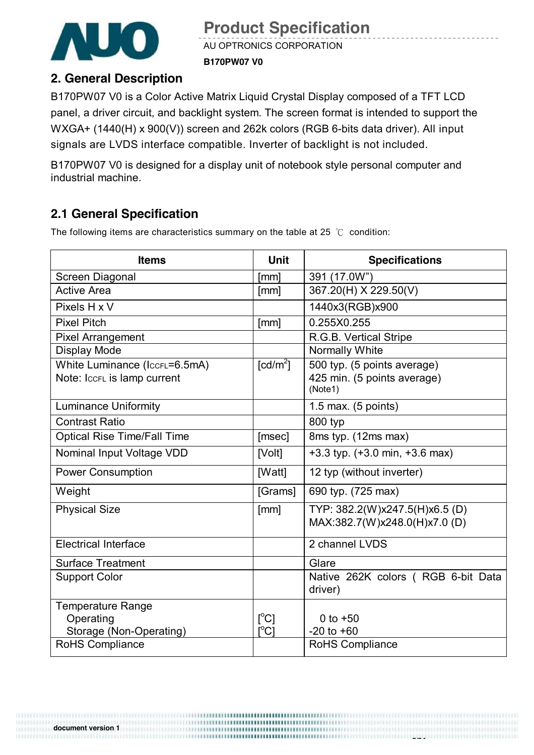

AU OPTRONICS CORPORATION

**B170PW07 V0**

### **2. General Description**

B170PW07 V0 is a Color Active Matrix Liquid Crystal Display composed of a TFT LCD panel, a driver circuit, and backlight system. The screen format is intended to support the WXGA+ (1440(H) x 900(V)) screen and 262k colors (RGB 6-bits data driver). All input signals are LVDS interface compatible. Inverter of backlight is not included.

B170PW07 V0 is designed for a display unit of notebook style personal computer and industrial machine.

### **2.1 General Specification**

The following items are characteristics summary on the table at 25 ℃ condition:

| <b>Items</b>                       | Unit                                    | <b>Specifications</b>                                          |
|------------------------------------|-----------------------------------------|----------------------------------------------------------------|
| Screen Diagonal                    | [mm]                                    | 391 (17.0W")                                                   |
| <b>Active Area</b>                 | [mm]                                    | 367.20(H) X 229.50(V)                                          |
| Pixels H x V                       |                                         | 1440x3(RGB)x900                                                |
| <b>Pixel Pitch</b>                 | [mm]                                    | 0.255X0.255                                                    |
| <b>Pixel Arrangement</b>           |                                         | R.G.B. Vertical Stripe                                         |
| <b>Display Mode</b>                |                                         | <b>Normally White</b>                                          |
| White Luminance (IccFL=6.5mA)      | $\lceil cd/m^2 \rceil$                  | 500 typ. (5 points average)                                    |
| Note: IccFL is lamp current        |                                         | 425 min. (5 points average)<br>(Note1)                         |
| <b>Luminance Uniformity</b>        |                                         | 1.5 max. (5 points)                                            |
| <b>Contrast Ratio</b>              |                                         | 800 typ                                                        |
| <b>Optical Rise Time/Fall Time</b> | [msec]                                  | 8ms typ. (12ms max)                                            |
| Nominal Input Voltage VDD          | [Volt]                                  | $+3.3$ typ. $(+3.0$ min, $+3.6$ max)                           |
| <b>Power Consumption</b>           | [Watt]                                  | 12 typ (without inverter)                                      |
| Weight                             | [Grams]                                 | 690 typ. (725 max)                                             |
| <b>Physical Size</b>               | [mm]                                    | TYP: 382.2(W)x247.5(H)x6.5 (D)<br>MAX:382.7(W)x248.0(H)x7.0(D) |
| <b>Electrical Interface</b>        |                                         | 2 channel LVDS                                                 |
| <b>Surface Treatment</b>           |                                         | Glare                                                          |
| <b>Support Color</b>               |                                         | Native 262K colors (RGB 6-bit Data<br>driver)                  |
| Temperature Range                  |                                         |                                                                |
| Operating                          | $\mathsf{I}^{\circ}$ Cl                 | 0 to $+50$                                                     |
| Storage (Non-Operating)            | $\mathsf{I}^\circ\mathsf{C} \mathsf{I}$ | $-20$ to $+60$                                                 |
| <b>RoHS Compliance</b>             |                                         | <b>RoHS Compliance</b>                                         |

**document version 1 5/34**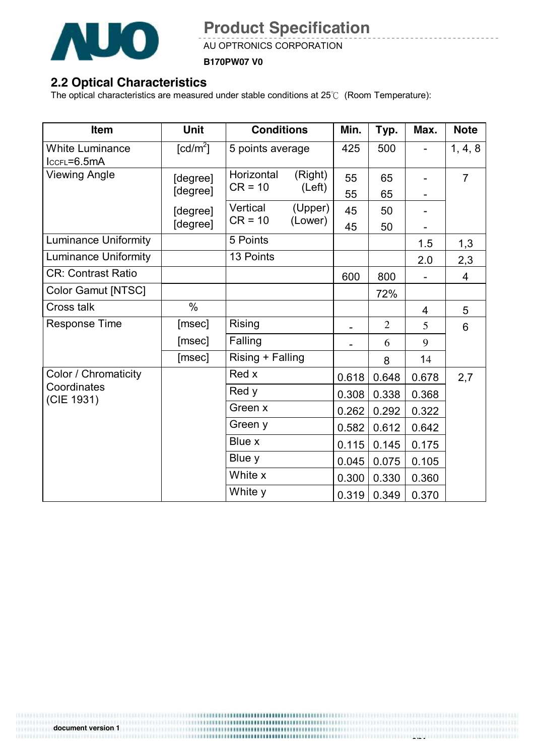

AU OPTRONICS CORPORATION

**B170PW07 V0**

### **2.2 Optical Characteristics**

The optical characteristics are measured under stable conditions at 25℃ (Room Temperature):

| <b>Item</b>                           | <b>Unit</b>            | <b>Conditions</b>       |                   | Min.  | Typ.           | Max.  | <b>Note</b>    |
|---------------------------------------|------------------------|-------------------------|-------------------|-------|----------------|-------|----------------|
| <b>White Luminance</b><br>IccFL=6.5mA | $\lceil cd/m^2 \rceil$ | 5 points average        |                   | 425   | 500            |       | 1, 4, 8        |
| <b>Viewing Angle</b>                  | [degree]               | Horizontal<br>$CR = 10$ | (Right)<br>(Left) | 55    | 65             |       | $\overline{7}$ |
|                                       | [degree]               |                         |                   | 55    | 65             |       |                |
|                                       | [degree]               | Vertical<br>$CR = 10$   | (Upper)           | 45    | 50             |       |                |
|                                       | [degree]               |                         | (Lower)           | 45    | 50             |       |                |
| Luminance Uniformity                  |                        | 5 Points                |                   |       |                | 1.5   | 1,3            |
| <b>Luminance Uniformity</b>           |                        | 13 Points               |                   |       |                | 2.0   | 2,3            |
| <b>CR: Contrast Ratio</b>             |                        |                         |                   | 600   | 800            |       | $\overline{4}$ |
| Color Gamut [NTSC]                    |                        |                         |                   |       | 72%            |       |                |
| <b>Cross talk</b>                     | $\frac{0}{0}$          |                         |                   |       |                | 4     | 5              |
| <b>Response Time</b>                  | [msec]                 | Rising                  |                   |       | $\overline{2}$ | 5     | 6              |
|                                       | [msec]                 | Falling                 |                   |       | 6              | 9     |                |
|                                       | [msec]                 | Rising + Falling        |                   |       | 8              | 14    |                |
| Color / Chromaticity                  |                        | Red x                   |                   | 0.618 | 0.648          | 0.678 | 2,7            |
| Coordinates<br>(CIE 1931)             |                        | Red y                   |                   | 0.308 | 0.338          | 0.368 |                |
|                                       |                        | Green x                 |                   | 0.262 | 0.292          | 0.322 |                |
|                                       |                        | Green y                 |                   | 0.582 | 0.612          | 0.642 |                |
|                                       |                        | Blue x                  |                   | 0.115 | 0.145          | 0.175 |                |
|                                       |                        | Blue y                  |                   | 0.045 | 0.075          | 0.105 |                |
|                                       |                        | White x                 |                   | 0.300 | 0.330          | 0.360 |                |
|                                       |                        | White y                 |                   | 0.319 | 0.349          | 0.370 |                |

**document version 1 6/34**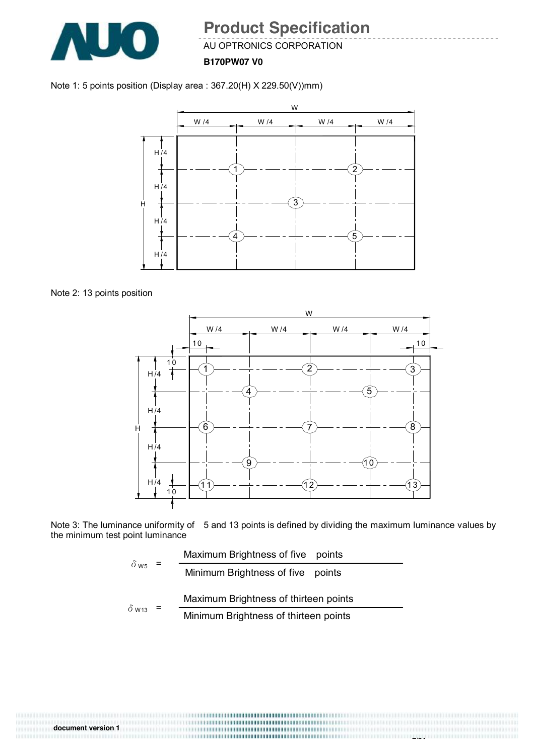

AU OPTRONICS CORPORATION

**B170PW07 V0**

#### Note 1: 5 points position (Display area : 367.20(H) X 229.50(V))mm)



Note 2: 13 points position



Note 3: The luminance uniformity of 5 and 13 points is defined by dividing the maximum luminance values by the minimum test point luminance

$$
\delta_{\text{W5}} = \frac{\text{Maximum brightness of five points}}{\text{Minimum brightness of five points}}
$$
\n
$$
\delta_{\text{W13}} = \frac{\text{Maximum brightness of thirteen points}}{\text{Minimum brightness of thirteen points}}
$$

0111111111 **document version 1 7/34**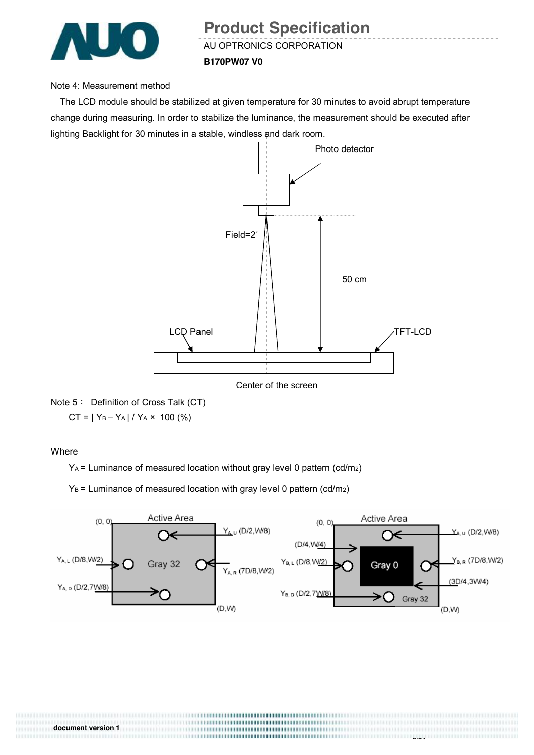

AU OPTRONICS CORPORATION

#### **B170PW07 V0**

#### Note 4: Measurement method

The LCD module should be stabilized at given temperature for 30 minutes to avoid abrupt temperature change during measuring. In order to stabilize the luminance, the measurement should be executed after lighting Backlight for 30 minutes in a stable, windless and dark room.



Center of the screen

Note 5: Definition of Cross Talk (CT)  $CT = |Y_B - Y_A| / Y_A \times 100$  (%)

**Where** 

YA = Luminance of measured location without gray level 0 pattern (cd/m2)

 $Y_B$  = Luminance of measured location with gray level 0 pattern (cd/m<sub>2</sub>)



**document version 1 8/34**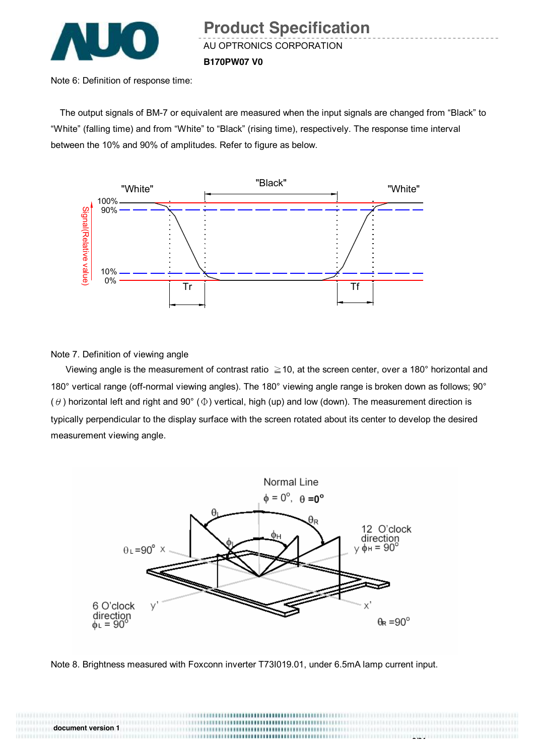

Note 6: Definition of response time:

The output signals of BM-7 or equivalent are measured when the input signals are changed from "Black" to "White" (falling time) and from "White" to "Black" (rising time), respectively. The response time interval between the 10% and 90% of amplitudes. Refer to figure as below.



Note 7. Definition of viewing angle

**document version 1** 

Viewing angle is the measurement of contrast ratio  $\geq$  10, at the screen center, over a 180° horizontal and 180° vertical range (off-normal viewing angles). The 180° viewing angle range is broken down as follows; 90° ( $\theta$ ) horizontal left and right and 90° ( $\Phi$ ) vertical, high (up) and low (down). The measurement direction is typically perpendicular to the display surface with the screen rotated about its center to develop the desired measurement viewing angle.



Note 8. Brightness measured with Foxconn inverter T73I019.01, under 6.5mA lamp current input.

 **9/34**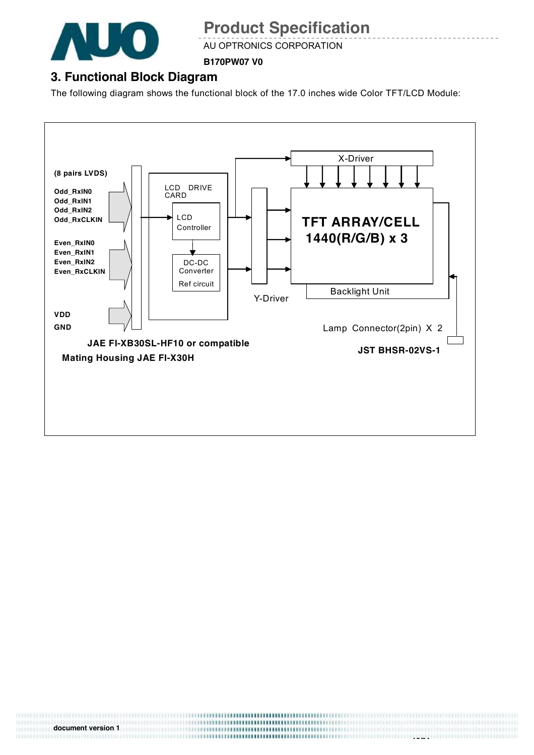

AU OPTRONICS CORPORATION

**B170PW07 V0**

### **3. Functional Block Diagram**

The following diagram shows the functional block of the 17.0 inches wide Color TFT/LCD Module:



0111111111 **document version 1 10/34**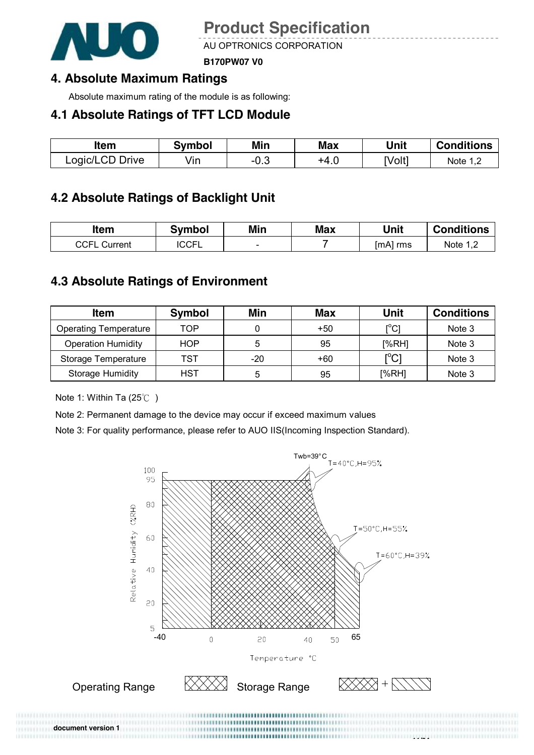

AU OPTRONICS CORPORATION

**B170PW07 V0**

### **4. Absolute Maximum Ratings**

Absolute maximum rating of the module is as following:

#### **4.1 Absolute Ratings of TFT LCD Module**

| ltem            | Svmbol | Min  | Max  | Unit  | <b>Conditions</b> |
|-----------------|--------|------|------|-------|-------------------|
| Logic/LCD Drive | √in    | −∪.◡ | +4.∪ | [Volt | Note $1, z$       |

### **4.2 Absolute Ratings of Backlight Unit**

| ltem            | Svmbol       | Min                      | <b>Max</b> | Unit     | <b>Conditions</b> |
|-----------------|--------------|--------------------------|------------|----------|-------------------|
| CCFL<br>Current | <b>'CCFL</b> | $\overline{\phantom{0}}$ |            | [mA] rms | Note 1            |

### **4.3 Absolute Ratings of Environment**

| <b>Item</b>                  | <b>Symbol</b> | Min | <b>Max</b> | <b>Unit</b>                                 | <b>Conditions</b> |
|------------------------------|---------------|-----|------------|---------------------------------------------|-------------------|
| <b>Operating Temperature</b> | TOP           |     | $+50$      | $\mathsf{I}^\circ\mathsf{C} \mathsf{I}$     | Note 3            |
| <b>Operation Humidity</b>    | <b>HOP</b>    | 5   | 95         | [%RH]                                       | Note 3            |
| Storage Temperature          | TST           | -20 | +60        | $\mathop{\rm l\mskip -3.5mu\rm C}\nolimits$ | Note 3            |
| Storage Humidity             | HST           | 5   | 95         | [%RH]                                       | Note 3            |

Note 1: Within Ta (25℃ )

Note 2: Permanent damage to the device may occur if exceed maximum values

Note 3: For quality performance, please refer to AUO IIS(Incoming Inspection Standard).

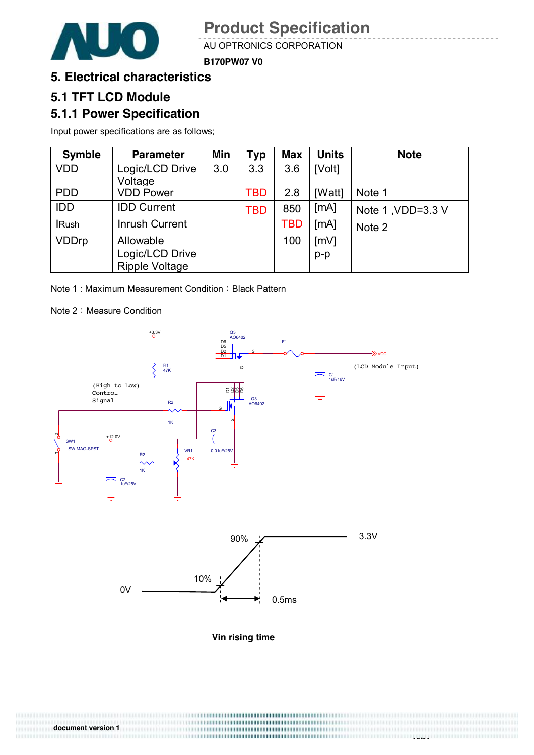

AU OPTRONICS CORPORATION

**B170PW07 V0**

#### **5. Electrical characteristics**

### **5.1 TFT LCD Module**

### **5.1.1 Power Specification**

Input power specifications are as follows;

| <b>Symble</b> | <b>Parameter</b>      | Min | <b>Typ</b> | <b>Max</b> | <b>Units</b> | <b>Note</b>       |
|---------------|-----------------------|-----|------------|------------|--------------|-------------------|
| <b>VDD</b>    | Logic/LCD Drive       | 3.0 | 3.3        | 3.6        | [Volt]       |                   |
|               | Voltage               |     |            |            |              |                   |
| <b>PDD</b>    | <b>VDD Power</b>      |     | <b>TBD</b> | 2.8        | [Watt]       | Note 1            |
| <b>IDD</b>    | <b>IDD Current</b>    |     | TBD        | 850        | [MA]         | Note 1, VDD=3.3 V |
| <b>IRush</b>  | <b>Inrush Current</b> |     |            | TBD        | [MA]         | Note 2            |
| <b>VDDrp</b>  | Allowable             |     |            | 100        | [mV]         |                   |
|               | Logic/LCD Drive       |     |            |            | $p-p$        |                   |
|               | <b>Ripple Voltage</b> |     |            |            |              |                   |

Note 1 : Maximum Measurement Condition : Black Pattern

Note 2: Measure Condition

0111111111





**Vin rising time** 

**document version 1 12/34**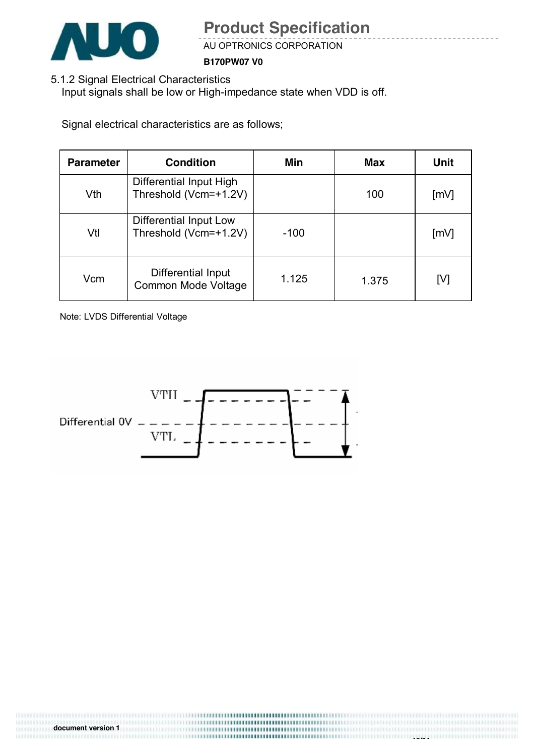

AU OPTRONICS CORPORATION

#### **B170PW07 V0**

5.1.2 Signal Electrical Characteristics

Input signals shall be low or High-impedance state when VDD is off.

Signal electrical characteristics are as follows;

| <b>Parameter</b> | <b>Condition</b>                                 | Min    | <b>Max</b> | Unit |
|------------------|--------------------------------------------------|--------|------------|------|
| Vth              | Differential Input High<br>Threshold (Vcm=+1.2V) |        | 100        | [mV] |
| Vtl              | Differential Input Low<br>Threshold (Vcm=+1.2V)  | $-100$ |            | [mV] |
| Vcm              | Differential Input<br><b>Common Mode Voltage</b> | 1.125  | 1.375      | [V]  |

Note: LVDS Differential Voltage

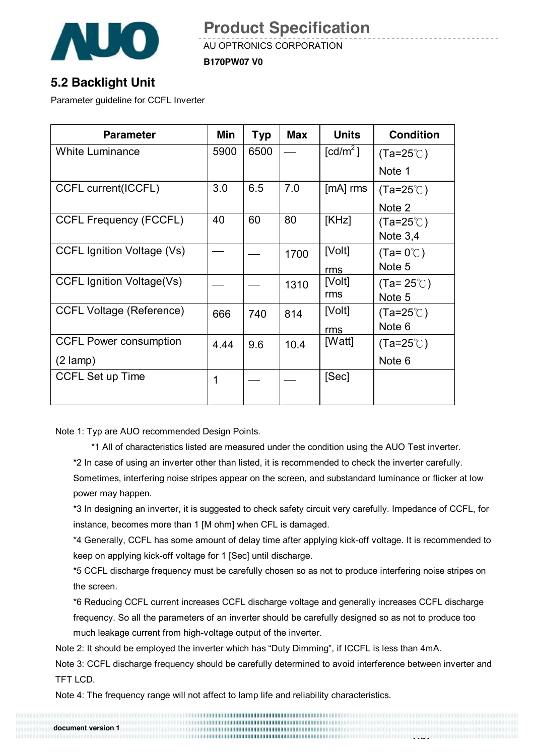

AU OPTRONICS CORPORATION

**B170PW07 V0**

### **5.2 Backlight Unit**

Parameter guideline for CCFL Inverter

| <b>Parameter</b>                | Min  | <b>Typ</b> | <b>Max</b> | <b>Units</b>           | <b>Condition</b>    |
|---------------------------------|------|------------|------------|------------------------|---------------------|
| <b>White Luminance</b>          | 5900 | 6500       |            | $\lceil cd/m^2 \rceil$ | $(Ta=25^{\circ}C)$  |
|                                 |      |            |            |                        | Note 1              |
| <b>CCFL current(ICCFL)</b>      | 3.0  | 6.5        | 7.0        | $[mA]$ rms             | $(Ta=25^{\circ}$ C) |
|                                 |      |            |            |                        | Note 2              |
| <b>CCFL Frequency (FCCFL)</b>   | 40   | 60         | 80         | [KHz]                  | $(Ta=25^{\circ}$ C) |
|                                 |      |            |            |                        | Note $3,4$          |
| CCFL Ignition Voltage (Vs)      |      |            | 1700       | [Volt]                 | $(Ta=0^{\circ}C)$   |
|                                 |      |            |            | rms                    | Note 5              |
| CCFL Ignition Voltage(Vs)       |      |            | 1310       | [Volt]                 | $(Ta=25^{\circ}$ C) |
|                                 |      |            |            | rms                    | Note 5              |
| <b>CCFL Voltage (Reference)</b> | 666  | 740        | 814        | [Volt]                 | $(Ta=25^{\circ}C)$  |
|                                 |      |            |            | rms                    | Note 6              |
| <b>CCFL Power consumption</b>   | 4.44 | 9.6        | 10.4       | [Watt]                 | $(Ta=25^{\circ}C)$  |
| $(2$ lamp)                      |      |            |            |                        | Note <sub>6</sub>   |
| <b>CCFL Set up Time</b>         | 1    |            |            | [Sec]                  |                     |
|                                 |      |            |            |                        |                     |

Note 1: Typ are AUO recommended Design Points.

\*1 All of characteristics listed are measured under the condition using the AUO Test inverter.

\*2 In case of using an inverter other than listed, it is recommended to check the inverter carefully.

Sometimes, interfering noise stripes appear on the screen, and substandard luminance or flicker at low power may happen.

\*3 In designing an inverter, it is suggested to check safety circuit very carefully. Impedance of CCFL, for instance, becomes more than 1 [M ohm] when CFL is damaged.

\*4 Generally, CCFL has some amount of delay time after applying kick-off voltage. It is recommended to keep on applying kick-off voltage for 1 [Sec] until discharge.

\*5 CCFL discharge frequency must be carefully chosen so as not to produce interfering noise stripes on the screen.

\*6 Reducing CCFL current increases CCFL discharge voltage and generally increases CCFL discharge frequency. So all the parameters of an inverter should be carefully designed so as not to produce too much leakage current from high-voltage output of the inverter.

Note 2: It should be employed the inverter which has "Duty Dimming", if ICCFL is less than 4mA.

Note 3: CCFL discharge frequency should be carefully determined to avoid interference between inverter and TFT LCD.

**document version 1 14/34**

Note 4: The frequency range will not affect to lamp life and reliability characteristics.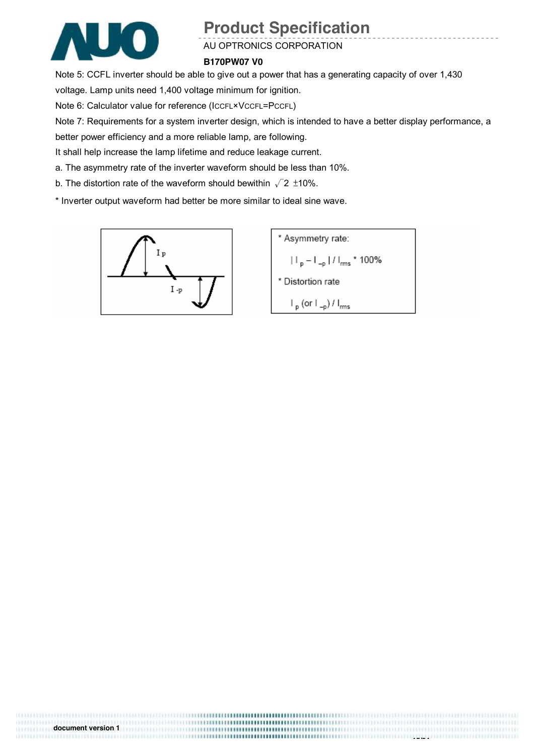

#### AU OPTRONICS CORPORATION

#### **B170PW07 V0**

Note 5: CCFL inverter should be able to give out a power that has a generating capacity of over 1,430

voltage. Lamp units need 1,400 voltage minimum for ignition.

Note 6: Calculator value for reference (ICCFL×VCCFL=PCCFL)

Note 7: Requirements for a system inverter design, which is intended to have a better display performance, a

**document version 1 15/34**

better power efficiency and a more reliable lamp, are following.

It shall help increase the lamp lifetime and reduce leakage current.

a. The asymmetry rate of the inverter waveform should be less than 10%.

b. The distortion rate of the waveform should bewithin  $\sqrt{2}$  ±10%.

\* Inverter output waveform had better be more similar to ideal sine wave.



\* Asymmetry rate:  $|||_{p} - ||_{-p}||/||_{rms} * 100\%$ \* Distortion rate  $\mathsf{I}_{\mathsf{p}}$  (or  $\mathsf{I}_{\mathsf{-p}}$ ) /  $\mathsf{I}_{\mathsf{rms}}$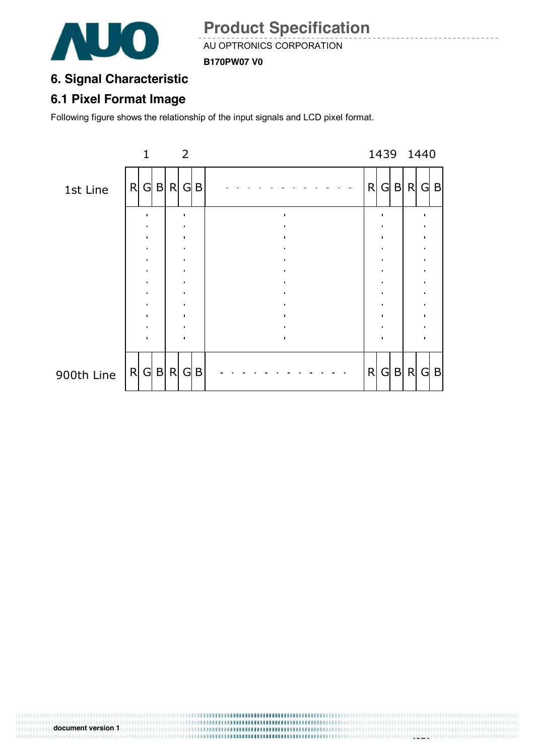

AU OPTRONICS CORPORATION

**B170PW07 V0**

### **6. Signal Characteristic**

### **6.1 Pixel Format Image**

Following figure shows the relationship of the input signals and LCD pixel format.

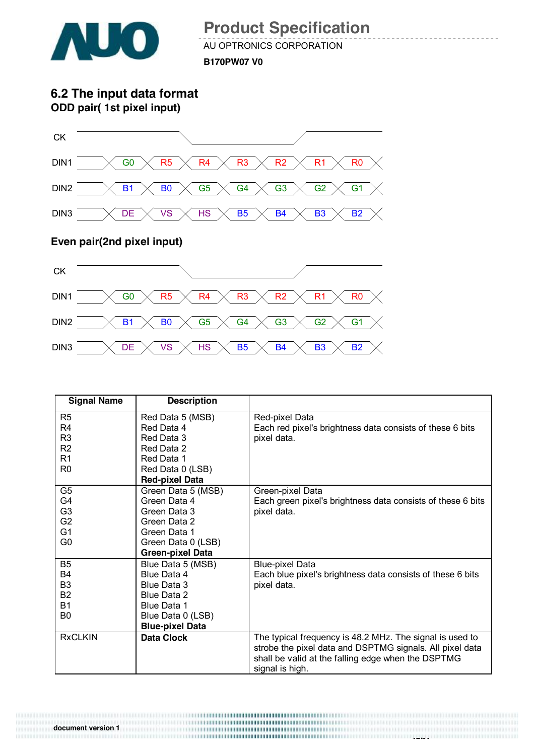

AU OPTRONICS CORPORATION

**B170PW07 V0**

**6.2 The input data format ODD pair( 1st pixel input)**



#### **Even pair(2nd pixel input)**



| <b>Signal Name</b> | <b>Description</b>      |                                                             |
|--------------------|-------------------------|-------------------------------------------------------------|
| R <sub>5</sub>     | Red Data 5 (MSB)        | Red-pixel Data                                              |
| R4                 | Red Data 4              | Each red pixel's brightness data consists of these 6 bits   |
| R <sub>3</sub>     | Red Data 3              | pixel data.                                                 |
| R <sub>2</sub>     | Red Data 2              |                                                             |
| R <sub>1</sub>     | Red Data 1              |                                                             |
| R <sub>0</sub>     | Red Data 0 (LSB)        |                                                             |
|                    | <b>Red-pixel Data</b>   |                                                             |
| G <sub>5</sub>     | Green Data 5 (MSB)      | Green-pixel Data                                            |
| G4                 | Green Data 4            | Each green pixel's brightness data consists of these 6 bits |
| G <sub>3</sub>     | Green Data 3            | pixel data.                                                 |
| G <sub>2</sub>     | Green Data 2            |                                                             |
| G <sub>1</sub>     | Green Data 1            |                                                             |
| G0                 | Green Data 0 (LSB)      |                                                             |
|                    | <b>Green-pixel Data</b> |                                                             |
| B <sub>5</sub>     | Blue Data 5 (MSB)       | <b>Blue-pixel Data</b>                                      |
| <b>B4</b>          | Blue Data 4             | Each blue pixel's brightness data consists of these 6 bits  |
| B <sub>3</sub>     | Blue Data 3             | pixel data.                                                 |
| B <sub>2</sub>     | Blue Data 2             |                                                             |
| <b>B1</b>          | Blue Data 1             |                                                             |
| B0                 | Blue Data 0 (LSB)       |                                                             |
|                    | <b>Blue-pixel Data</b>  |                                                             |
| <b>RxCLKIN</b>     | <b>Data Clock</b>       | The typical frequency is 48.2 MHz. The signal is used to    |
|                    |                         | strobe the pixel data and DSPTMG signals. All pixel data    |
|                    |                         | shall be valid at the falling edge when the DSPTMG          |
|                    |                         | signal is high.                                             |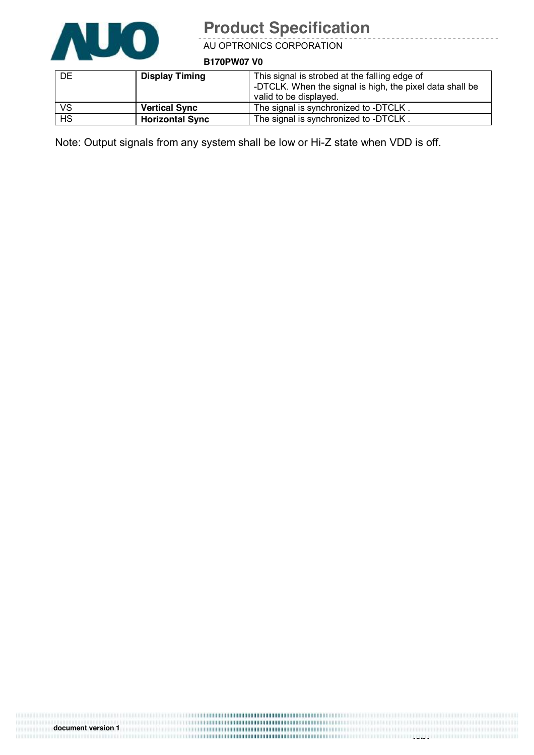

AU OPTRONICS CORPORATION

**B170PW07 V0**

| DE        | <b>Display Timing</b>  | This signal is strobed at the falling edge of<br>-DTCLK. When the signal is high, the pixel data shall be<br>valid to be displayed. |
|-----------|------------------------|-------------------------------------------------------------------------------------------------------------------------------------|
| <b>VS</b> | <b>Vertical Sync</b>   | The signal is synchronized to -DTCLK.                                                                                               |
| <b>HS</b> | <b>Horizontal Sync</b> | The signal is synchronized to -DTCLK.                                                                                               |

Note: Output signals from any system shall be low or Hi-Z state when VDD is off.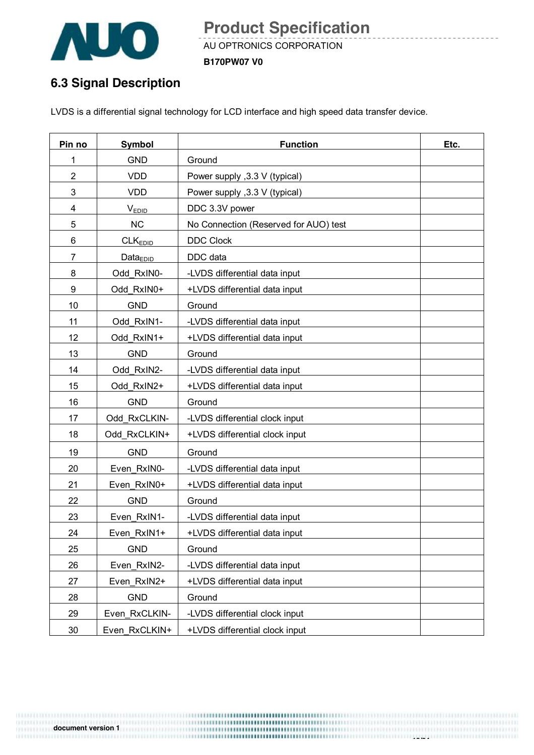

AU OPTRONICS CORPORATION

**B170PW07 V0**

### **6.3 Signal Description**

LVDS is a differential signal technology for LCD interface and high speed data transfer device.

| Pin no         | <b>Symbol</b>       | <b>Function</b>                       | Etc. |
|----------------|---------------------|---------------------------------------|------|
| 1              | <b>GND</b>          | Ground                                |      |
| $\overline{2}$ | <b>VDD</b>          | Power supply , 3.3 V (typical)        |      |
| 3              | <b>VDD</b>          | Power supply , 3.3 V (typical)        |      |
| 4              | <b>VEDID</b>        | DDC 3.3V power                        |      |
| 5              | <b>NC</b>           | No Connection (Reserved for AUO) test |      |
| 6              | CLK <sub>EDID</sub> | <b>DDC Clock</b>                      |      |
| $\overline{7}$ | $Data_{EDID}$       | DDC data                              |      |
| 8              | Odd_RxIN0-          | -LVDS differential data input         |      |
| 9              | Odd RxIN0+          | +LVDS differential data input         |      |
| 10             | <b>GND</b>          | Ground                                |      |
| 11             | Odd RxIN1-          | -LVDS differential data input         |      |
| 12             | Odd RxIN1+          | +LVDS differential data input         |      |
| 13             | <b>GND</b>          | Ground                                |      |
| 14             | Odd RxIN2-          | -LVDS differential data input         |      |
| 15             | Odd RxIN2+          | +LVDS differential data input         |      |
| 16             | <b>GND</b>          | Ground                                |      |
| 17             | Odd RxCLKIN-        | -LVDS differential clock input        |      |
| 18             | Odd_RxCLKIN+        | +LVDS differential clock input        |      |
| 19             | <b>GND</b>          | Ground                                |      |
| 20             | Even RxIN0-         | -LVDS differential data input         |      |
| 21             | Even RxIN0+         | +LVDS differential data input         |      |
| 22             | <b>GND</b>          | Ground                                |      |
| 23             | Even RxIN1-         | -LVDS differential data input         |      |
| 24             | Even RxIN1+         | +LVDS differential data input         |      |
| 25             | <b>GND</b>          | Ground                                |      |
| 26             | Even_RxIN2-         | -LVDS differential data input         |      |
| 27             | Even RxIN2+         | +LVDS differential data input         |      |
| 28             | <b>GND</b>          | Ground                                |      |
| 29             | Even_RxCLKIN-       | -LVDS differential clock input        |      |
| 30             | Even_RxCLKIN+       | +LVDS differential clock input        |      |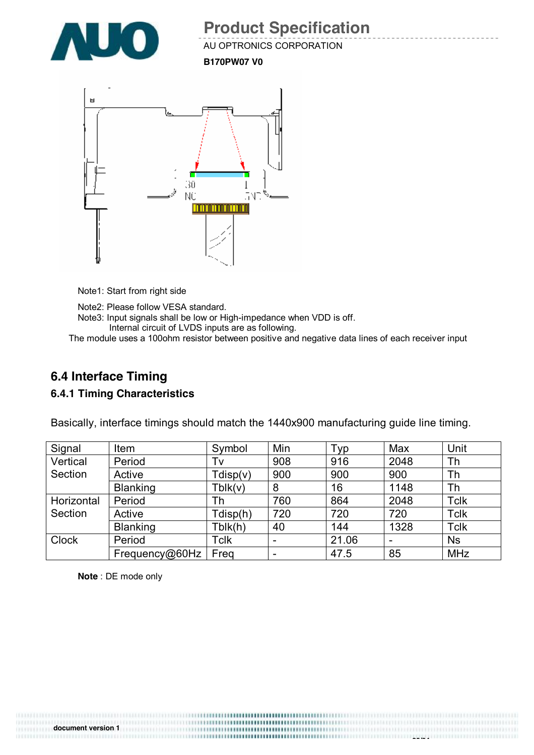

AU OPTRONICS CORPORATION

**B170PW07 V0**



Note1: Start from right side

Note2: Please follow VESA standard. Note3: Input signals shall be low or High-impedance when VDD is off. Internal circuit of LVDS inputs are as following.

The module uses a 100ohm resistor between positive and negative data lines of each receiver input

### **6.4 Interface Timing**

#### **6.4.1 Timing Characteristics**

| Signal       | Item            | Symbol   | Min                      | Typ   | Max  | Unit        |
|--------------|-----------------|----------|--------------------------|-------|------|-------------|
| Vertical     | Period          | Tv       | 908                      | 916   | 2048 | Th          |
| Section      | Active          | Tdisp(v) | 900                      | 900   | 900  | Th          |
|              | <b>Blanking</b> | Tblk(v)  | 8                        | 16    | 1148 | Th          |
| Horizontal   | Period          | Th       | 760                      | 864   | 2048 | <b>Tclk</b> |
| Section      | Active          | Tdisp(h) | 720                      | 720   | 720  | <b>Tclk</b> |
|              | <b>Blanking</b> | Tblk(h)  | 40                       | 144   | 1328 | <b>Tclk</b> |
| <b>Clock</b> | Period          | Tclk     | $\overline{\phantom{a}}$ | 21.06 | -    | <b>Ns</b>   |
|              | Frequency@60Hz  | Freg     | -                        | 47.5  | 85   | MHz         |

Basically, interface timings should match the 1440x900 manufacturing guide line timing.

**Note** : DE mode only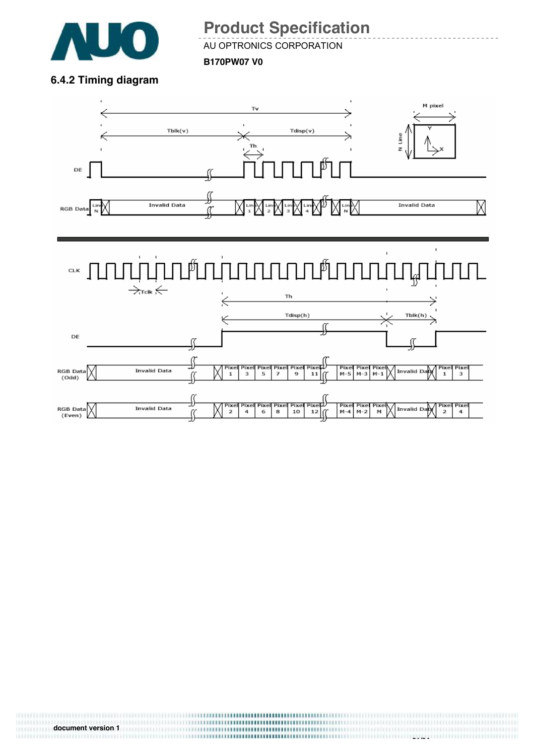

AU OPTRONICS CORPORATION

**B170PW07 V0**

### **6.4.2 Timing diagram**

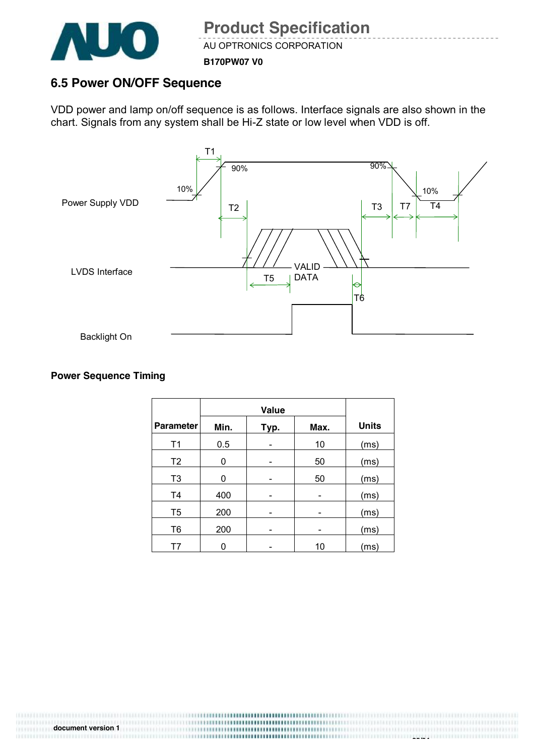

AU OPTRONICS CORPORATION

#### **B170PW07 V0**

#### **6.5 Power ON/OFF Sequence**

VDD power and lamp on/off sequence is as follows. Interface signals are also shown in the chart. Signals from any system shall be Hi-Z state or low level when VDD is off.



#### **Power Sequence Timing**

|                  | Value                |  |    |              |
|------------------|----------------------|--|----|--------------|
| <b>Parameter</b> | Min.<br>Max.<br>Typ. |  |    | <b>Units</b> |
| T1               | 0.5                  |  | 10 | (ms)         |
| T <sub>2</sub>   | 0                    |  | 50 | (ms)         |
| T <sub>3</sub>   | 0                    |  | 50 | (ms)         |
| T <sub>4</sub>   | 400                  |  |    | (ms)         |
| T <sub>5</sub>   | 200                  |  |    | (ms)         |
| T <sub>6</sub>   | 200                  |  |    | (ms)         |
|                  | 0                    |  | 10 | (ms)         |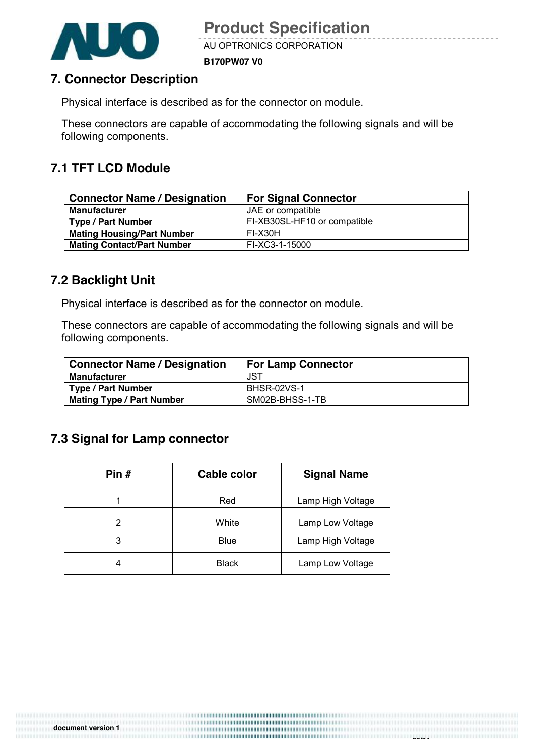



#### AU OPTRONICS CORPORATION

**B170PW07 V0**

#### **7. Connector Description**

Physical interface is described as for the connector on module.

These connectors are capable of accommodating the following signals and will be following components.

#### **7.1 TFT LCD Module**

| <b>Connector Name / Designation</b> | <b>For Signal Connector</b>  |  |
|-------------------------------------|------------------------------|--|
| <b>Manufacturer</b>                 | JAE or compatible            |  |
| <b>Type / Part Number</b>           | FI-XB30SL-HF10 or compatible |  |
| <b>Mating Housing/Part Number</b>   | FI-X30H                      |  |
| <b>Mating Contact/Part Number</b>   | FI-XC3-1-15000               |  |

#### **7.2 Backlight Unit**

01111111111

Physical interface is described as for the connector on module.

These connectors are capable of accommodating the following signals and will be following components.

| <b>Connector Name / Designation</b> | <b>For Lamp Connector</b> |
|-------------------------------------|---------------------------|
| <b>Manufacturer</b>                 | JST.                      |
| <b>Type / Part Number</b>           | <b>BHSR-02VS-1</b>        |
| <b>Mating Type / Part Number</b>    | SM02B-BHSS-1-TB           |

**document version 1 23/34**

#### **7.3 Signal for Lamp connector**

| Pin $#$<br><b>Cable color</b> |              | <b>Signal Name</b> |  |
|-------------------------------|--------------|--------------------|--|
|                               | Red          | Lamp High Voltage  |  |
| 2                             | White        | Lamp Low Voltage   |  |
| 3                             | Blue         | Lamp High Voltage  |  |
| 4                             | <b>Black</b> | Lamp Low Voltage   |  |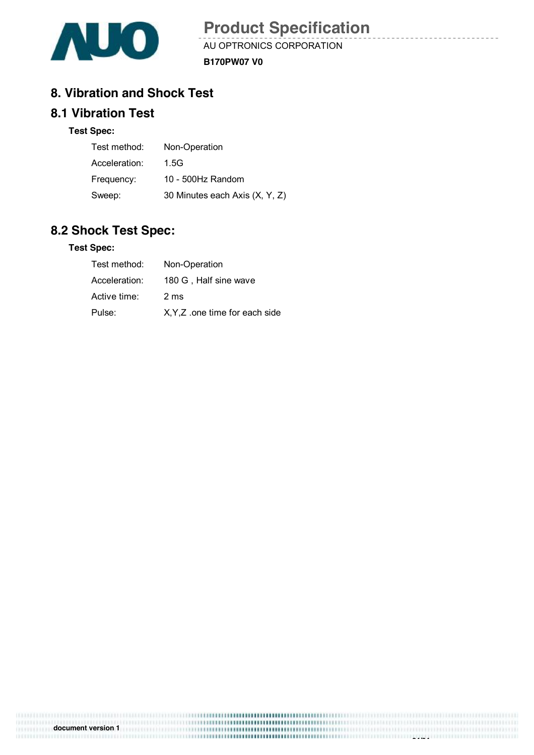

AU OPTRONICS CORPORATION

**B170PW07 V0**

### **8. Vibration and Shock Test**

#### **8.1 Vibration Test**

#### **Test Spec:**

| Test method:  | Non-Operation                  |
|---------------|--------------------------------|
| Acceleration: | 1.5G                           |
| Frequency:    | 10 - 500Hz Random              |
| Sweep:        | 30 Minutes each Axis (X, Y, Z) |

#### **8.2 Shock Test Spec:**

#### **Test Spec:**

| Test method:  | Non-Operation                  |
|---------------|--------------------------------|
| Acceleration: | 180 G, Half sine wave          |
| Active time:  | 2 <sub>ms</sub>                |
| Pulse:        | X, Y, Z one time for each side |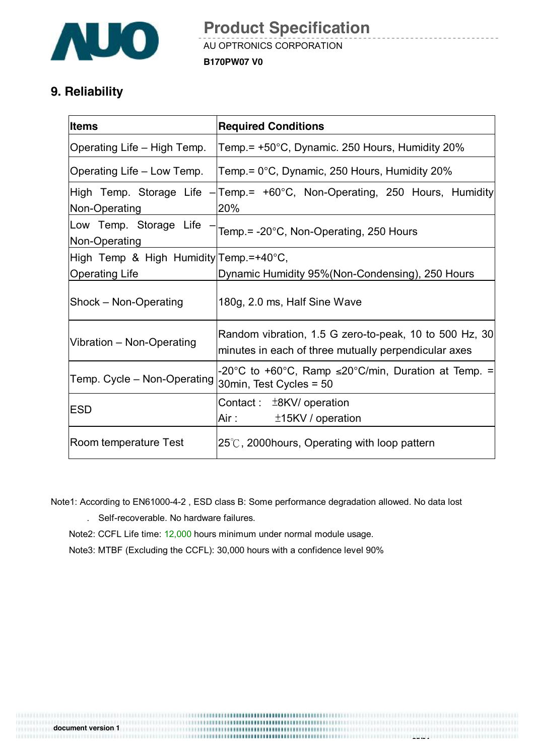

### **9. Reliability**

| <b>Items</b>                             | <b>Required Conditions</b>                                                                                     |  |  |  |  |
|------------------------------------------|----------------------------------------------------------------------------------------------------------------|--|--|--|--|
| Operating Life – High Temp.              | Temp.= $+50^{\circ}$ C, Dynamic. 250 Hours, Humidity 20%                                                       |  |  |  |  |
| Operating Life – Low Temp.               | Temp = $0^{\circ}$ C, Dynamic, 250 Hours, Humidity 20%                                                         |  |  |  |  |
| High Temp. Storage Life<br>Non-Operating | $-$ Temp = $+60^{\circ}$ C, Non-Operating, 250 Hours, Humidity<br>20%                                          |  |  |  |  |
| Low Temp. Storage Life<br>Non-Operating  | Temp.= -20°C, Non-Operating, 250 Hours                                                                         |  |  |  |  |
| High Temp & High Humidity Temp.=+40°C,   |                                                                                                                |  |  |  |  |
| <b>Operating Life</b>                    | Dynamic Humidity 95% (Non-Condensing), 250 Hours                                                               |  |  |  |  |
| Shock - Non-Operating                    | 180g, 2.0 ms, Half Sine Wave                                                                                   |  |  |  |  |
| Vibration - Non-Operating                | Random vibration, 1.5 G zero-to-peak, 10 to 500 Hz, 30<br>minutes in each of three mutually perpendicular axes |  |  |  |  |
| Temp. Cycle - Non-Operating              | -20°C to +60°C, Ramp $\leq$ 20°C/min, Duration at Temp. =<br>30min, Test Cycles = 50                           |  |  |  |  |
| <b>ESD</b>                               | Contact: $±8KV/$ operation<br>Air : The Sea<br>$±15$ KV / operation                                            |  |  |  |  |
| Room temperature Test                    | $25^{\circ}$ C, 2000 hours, Operating with loop pattern                                                        |  |  |  |  |

Note1: According to EN61000-4-2 , ESD class B: Some performance degradation allowed. No data lost

. Self-recoverable. No hardware failures.

Note2: CCFL Life time: 12,000 hours minimum under normal module usage.

Note3: MTBF (Excluding the CCFL): 30,000 hours with a confidence level 90%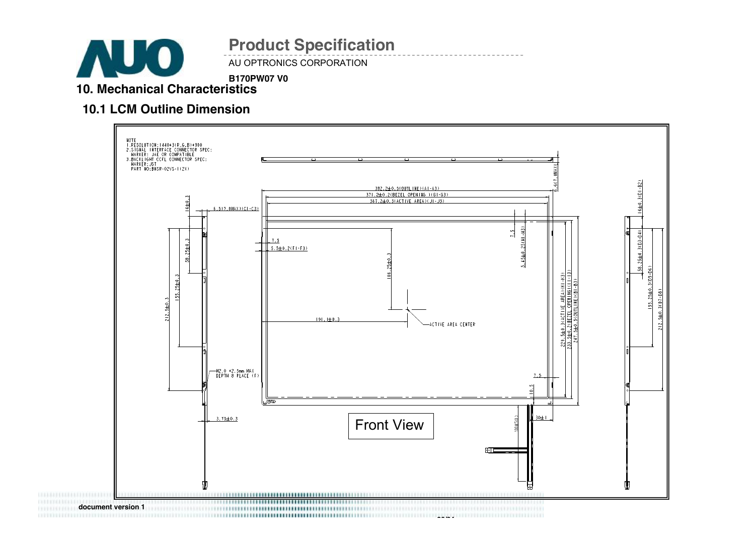

AU OPTRONICS CORPORATION **Product Specification** 

**B170PW07 V0**

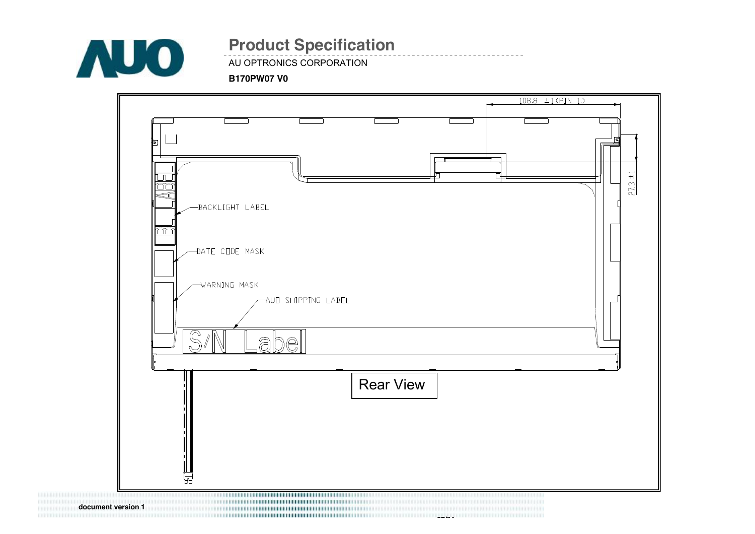

AU OPTRONICS CORPORATION

#### **B170PW07 V0**



 **27/34**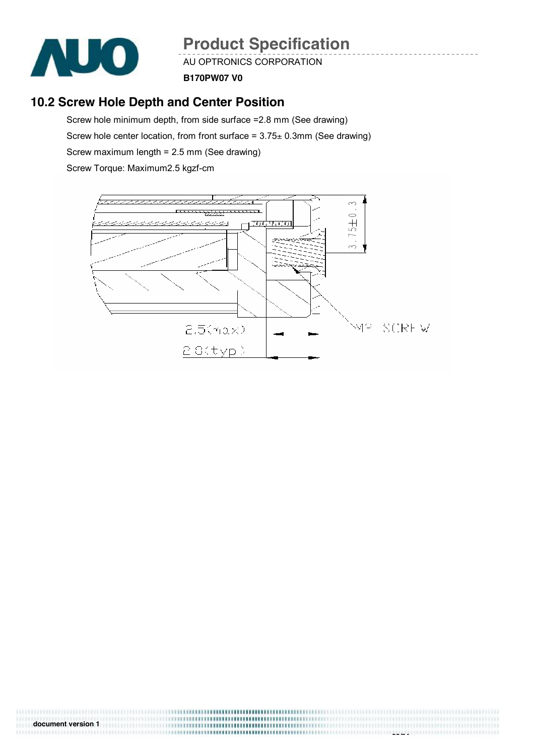

AU OPTRONICS CORPORATION

**B170PW07 V0**

### **10.2 Screw Hole Depth and Center Position**

Screw hole minimum depth, from side surface =2.8 mm (See drawing) Screw hole center location, from front surface =  $3.75 \pm 0.3$ mm (See drawing) Screw maximum length = 2.5 mm (See drawing) Screw Torque: Maximum2.5 kgzf-cm

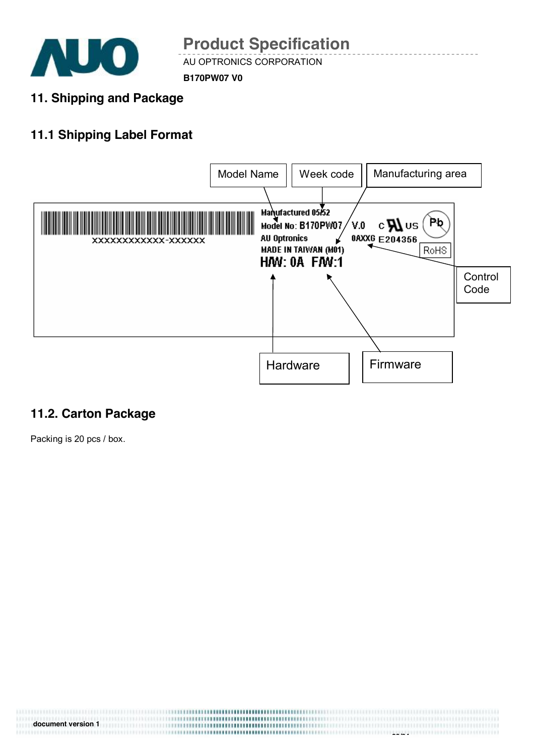

AU OPTRONICS CORPORATION

**B170PW07 V0**

**11. Shipping and Package** 

### **11.1 Shipping Label Format**



### **11.2. Carton Package**

Packing is 20 pcs / box.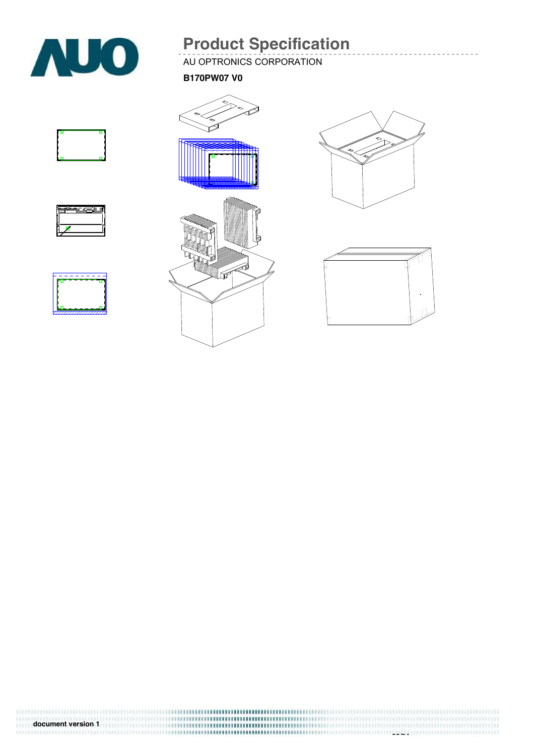

AU OPTRONICS CORPORATION

#### **B170PW07 V0**



 **30/34**



-------------------









**document version 1**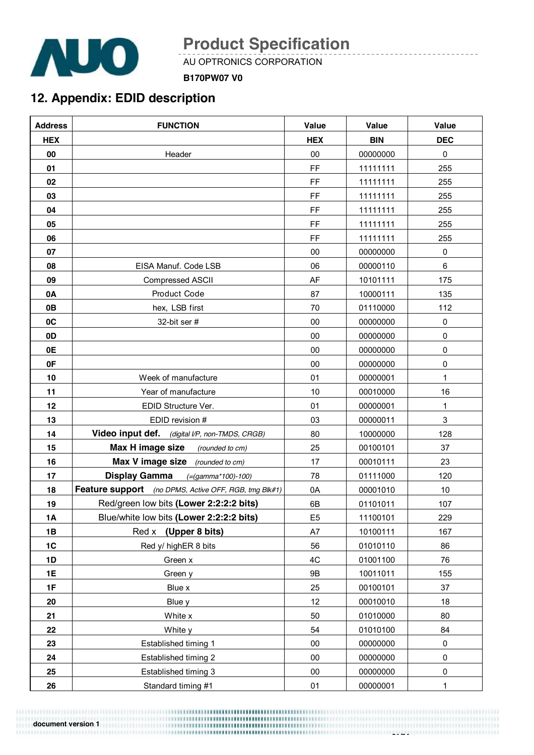

\_\_\_\_\_\_\_\_\_\_\_\_\_\_\_\_\_\_\_\_\_\_\_

AU OPTRONICS CORPORATION

**B170PW07 V0**

## **12. Appendix: EDID description**

| <b>Address</b> | <b>FUNCTION</b>                                       | Value          | Value      | Value      |
|----------------|-------------------------------------------------------|----------------|------------|------------|
| <b>HEX</b>     |                                                       | <b>HEX</b>     | <b>BIN</b> | <b>DEC</b> |
| 00             | Header                                                | 00             | 00000000   | 0          |
| 01             |                                                       | FF.            | 11111111   | 255        |
| 02             |                                                       | FF             | 11111111   | 255        |
| 03             |                                                       | FF.            | 11111111   | 255        |
| 04             |                                                       | FF             | 11111111   | 255        |
| 05             |                                                       | FF             | 11111111   | 255        |
| 06             |                                                       | FF.            | 11111111   | 255        |
| 07             |                                                       | 00             | 00000000   | $\pmb{0}$  |
| 08             | EISA Manuf. Code LSB                                  | 06             | 00000110   | 6          |
| 09             | <b>Compressed ASCII</b>                               | AF             | 10101111   | 175        |
| 0A             | Product Code                                          | 87             | 10000111   | 135        |
| 0B             | hex, LSB first                                        | 70             | 01110000   | 112        |
| 0C             | 32-bit ser #                                          | 00             | 00000000   | $\pmb{0}$  |
| 0D             |                                                       | 00             | 00000000   | 0          |
| 0E             |                                                       | 00             | 00000000   | $\pmb{0}$  |
| 0F             |                                                       | 00             | 00000000   | 0          |
| 10             | Week of manufacture                                   | 01             | 00000001   | 1          |
| 11             | Year of manufacture                                   | 10             | 00010000   | 16         |
| 12             | EDID Structure Ver.                                   | 01             | 00000001   | 1          |
| 13             | EDID revision #                                       | 03             | 00000011   | 3          |
| 14             | Video input def. (digital I/P, non-TMDS, CRGB)        | 80             | 10000000   | 128        |
| 15             | Max H image size<br>(rounded to cm)                   | 25             | 00100101   | 37         |
| 16             | Max V image size (rounded to cm)                      | 17             | 00010111   | 23         |
| 17             | <b>Display Gamma</b><br>$( = (gamma * 100) - 100)$    | 78             | 01111000   | 120        |
| 18             | Feature support (no DPMS, Active OFF, RGB, tmg Blk#1) | 0A             | 00001010   | 10         |
| 19             | Red/green low bits (Lower 2:2:2:2 bits)               | 6B             | 01101011   | 107        |
| <b>1A</b>      | Blue/white low bits (Lower 2:2:2:2 bits)              | E <sub>5</sub> | 11100101   | 229        |
| 1B             | Red x (Upper 8 bits)                                  | A7             | 10100111   | 167        |
| 1C             | Red y/ highER 8 bits                                  | 56             | 01010110   | 86         |
| 1D             | Green x                                               | 4C             | 01001100   | 76         |
| <b>1E</b>      | Green y                                               | 9B             | 10011011   | 155        |
| 1F             | Blue x                                                | 25             | 00100101   | 37         |
| 20             | Blue y                                                | 12             | 00010010   | 18         |
| 21             | White x                                               | 50             | 01010000   | 80         |
| 22             | White y                                               | 54             | 01010100   | 84         |
| 23             | Established timing 1                                  | 00             | 00000000   | 0          |
| 24             | Established timing 2                                  | 00             | 00000000   | $\pmb{0}$  |
| 25             | Established timing 3                                  | 00             | 00000000   | $\pmb{0}$  |
| 26             | Standard timing #1                                    | 01             | 00000001   | 1          |

 **31/34**

**document version 1**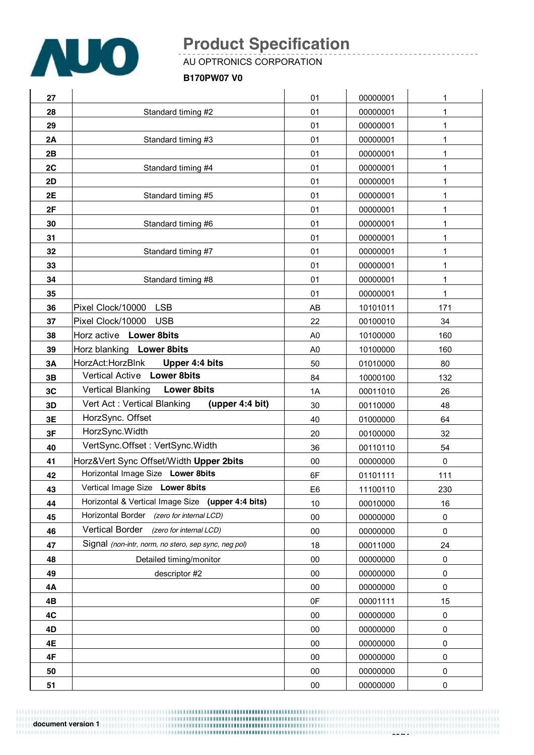

----------------------

AU OPTRONICS CORPORATION

**B170PW07 V0**

| 27 |                                                      | 01             | 00000001 | 1         |
|----|------------------------------------------------------|----------------|----------|-----------|
| 28 | Standard timing #2                                   | 01             | 00000001 | 1         |
| 29 |                                                      | 01             | 00000001 | 1         |
| 2A | Standard timing #3                                   | 01             | 00000001 | 1         |
| 2B |                                                      | 01             | 00000001 | 1         |
| 2C | Standard timing #4                                   | 01             | 00000001 | 1         |
| 2D |                                                      | 01             | 00000001 | 1         |
| 2E | Standard timing #5                                   | 01             | 00000001 | 1         |
| 2F |                                                      | 01             | 00000001 | 1         |
| 30 | Standard timing #6                                   | 01             | 00000001 | 1         |
| 31 |                                                      | 01             | 00000001 | 1         |
| 32 | Standard timing #7                                   | 01             | 00000001 | 1         |
| 33 |                                                      | 01             | 00000001 | 1         |
| 34 | Standard timing #8                                   | 01             | 00000001 | 1         |
| 35 |                                                      | 01             | 00000001 | 1         |
| 36 | Pixel Clock/10000<br><b>LSB</b>                      | AB             | 10101011 | 171       |
| 37 | Pixel Clock/10000<br><b>USB</b>                      | 22             | 00100010 | 34        |
| 38 | Horz active Lower 8bits                              | A <sub>0</sub> | 10100000 | 160       |
| 39 | Horz blanking Lower 8bits                            | A <sub>0</sub> | 10100000 | 160       |
| 3A | HorzAct:HorzBlnk<br>Upper 4:4 bits                   | 50             | 01010000 | 80        |
| 3B | Vertical Active Lower 8bits                          | 84             | 10000100 | 132       |
| 3C | <b>Lower 8bits</b><br><b>Vertical Blanking</b>       | 1A             | 00011010 | 26        |
| 3D | Vert Act: Vertical Blanking<br>(upper 4:4 bit)       | 30             | 00110000 | 48        |
| 3E | HorzSync. Offset                                     | 40             | 01000000 | 64        |
| 3F | HorzSync.Width                                       | 20             | 00100000 | 32        |
| 40 | VertSync.Offset: VertSync.Width                      | 36             | 00110110 | 54        |
| 41 | Horz‖ Sync Offset/Width Upper 2bits                  | 00             | 00000000 | 0         |
| 42 | Horizontal Image Size Lower 8bits                    | 6F             | 01101111 | 111       |
| 43 | Vertical Image Size Lower 8bits                      | E <sub>6</sub> | 11100110 | 230       |
| 44 | Horizontal & Vertical Image Size (upper 4:4 bits)    | 10             | 00010000 | 16        |
| 45 | Horizontal Border (zero for internal LCD)            | 00             | 00000000 | 0         |
| 46 | <b>Vertical Border</b><br>(zero for internal LCD)    | 00             | 00000000 | $\pmb{0}$ |
| 47 | Signal (non-intr, norm, no stero, sep sync, neg pol) | 18             | 00011000 | 24        |
| 48 | Detailed timing/monitor                              | 00             | 00000000 | 0         |
| 49 | descriptor #2                                        | $00\,$         | 00000000 | $\pmb{0}$ |
| 4A |                                                      | $00\,$         | 00000000 | $\pmb{0}$ |
| 4B |                                                      | 0F             | 00001111 | 15        |
| 4C |                                                      | $00\,$         | 00000000 | $\pmb{0}$ |
| 4D |                                                      | 00             | 00000000 | $\pmb{0}$ |
| 4E |                                                      | $00\,$         | 00000000 | $\pmb{0}$ |
| 4F |                                                      | $00\,$         | 00000000 | 0         |
| 50 |                                                      | $00\,$         | 00000000 | $\pmb{0}$ |
| 51 |                                                      | $00\,$         | 00000000 | $\pmb{0}$ |

**document version 1 32/34**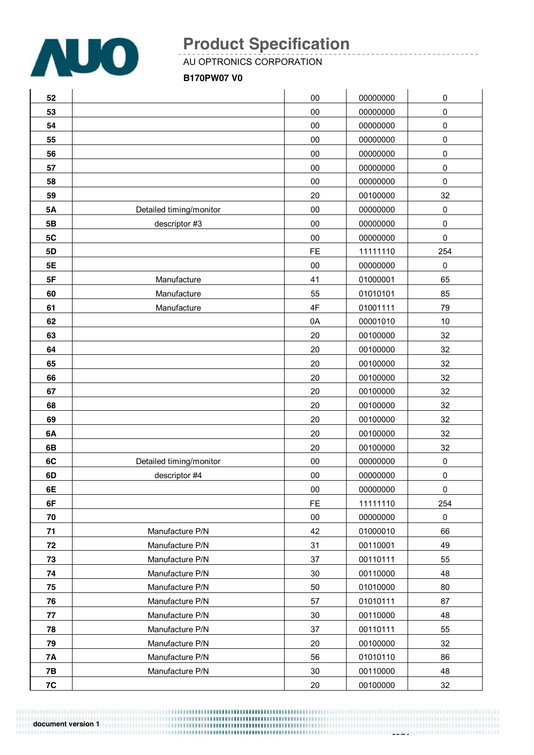

----------------------

AU OPTRONICS CORPORATION

#### **B170PW07 V0**

| 52         |                         | 00        | 00000000 | 0           |
|------------|-------------------------|-----------|----------|-------------|
| 53         |                         | 00        | 00000000 | 0           |
| 54         |                         | 00        | 00000000 | 0           |
| 55         |                         | 00        | 00000000 | $\pmb{0}$   |
| 56         |                         | 00        | 00000000 | 0           |
| 57         |                         | 00        | 00000000 | $\mathsf 0$ |
| 58         |                         | 00        | 00000000 | 0           |
| 59         |                         | 20        | 00100000 | 32          |
| <b>5A</b>  | Detailed timing/monitor | 00        | 00000000 | 0           |
| 5 <b>B</b> | descriptor #3           | 00        | 00000000 | 0           |
| 5C         |                         | 00        | 00000000 | $\mathsf 0$ |
| 5D         |                         | <b>FE</b> | 11111110 | 254         |
| 5E         |                         | 00        | 00000000 | 0           |
| 5F         | Manufacture             | 41        | 01000001 | 65          |
| 60         | Manufacture             | 55        | 01010101 | 85          |
| 61         | Manufacture             | 4F        | 01001111 | 79          |
| 62         |                         | 0A        | 00001010 | 10          |
| 63         |                         | 20        | 00100000 | 32          |
| 64         |                         | 20        | 00100000 | 32          |
| 65         |                         | 20        | 00100000 | 32          |
| 66         |                         | 20        | 00100000 | 32          |
| 67         |                         | 20        | 00100000 | 32          |
| 68         |                         | 20        | 00100000 | 32          |
| 69         |                         | 20        | 00100000 | 32          |
| 6A         |                         | 20        | 00100000 | 32          |
| 6B         |                         | 20        | 00100000 | 32          |
| 6C         | Detailed timing/monitor | 00        | 00000000 | 0           |
| 6D         | descriptor #4           | 00        | 00000000 | 0           |
| 6E         |                         | $00\,$    | 00000000 | 0           |
| 6F         |                         | <b>FE</b> | 11111110 | 254         |
| 70         |                         | $00\,$    | 00000000 | 0           |
| 71         | Manufacture P/N         | 42        | 01000010 | 66          |
| 72         | Manufacture P/N         | 31        | 00110001 | 49          |
| 73         | Manufacture P/N         | 37        | 00110111 | 55          |
| 74         | Manufacture P/N         | 30        | 00110000 | 48          |
| 75         | Manufacture P/N         | 50        | 01010000 | 80          |
| 76         | Manufacture P/N         | 57        | 01010111 | 87          |
| 77         | Manufacture P/N         | 30        | 00110000 | 48          |
| 78         | Manufacture P/N         | 37        | 00110111 | 55          |
| 79         | Manufacture P/N         | 20        | 00100000 | 32          |
| <b>7A</b>  | Manufacture P/N         | 56        | 01010110 | 86          |
| 7B         | Manufacture P/N         | 30        | 00110000 | 48          |
| 7C         |                         | 20        | 00100000 | 32          |

 **33/34**

**document version 1**